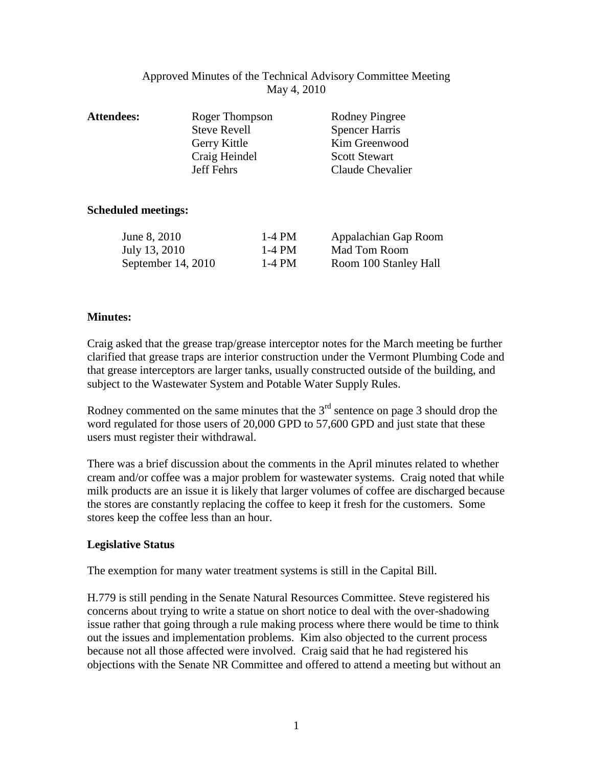# Approved Minutes of the Technical Advisory Committee Meeting May 4, 2010

| <b>Attendees:</b> | Roger Thompson      | <b>Rodney Pingree</b> |
|-------------------|---------------------|-----------------------|
|                   | <b>Steve Revell</b> | <b>Spencer Harris</b> |
|                   | Gerry Kittle        | Kim Greenwood         |
|                   | Craig Heindel       | <b>Scott Stewart</b>  |
|                   | Jeff Fehrs          | Claude Chevalier      |
|                   |                     |                       |

# **Scheduled meetings:**

| June 8, 2010       | 1-4 PM | Appalachian Gap Room  |
|--------------------|--------|-----------------------|
| July 13, 2010      | 1-4 PM | Mad Tom Room          |
| September 14, 2010 | 1-4 PM | Room 100 Stanley Hall |

# **Minutes:**

Craig asked that the grease trap/grease interceptor notes for the March meeting be further clarified that grease traps are interior construction under the Vermont Plumbing Code and that grease interceptors are larger tanks, usually constructed outside of the building, and subject to the Wastewater System and Potable Water Supply Rules.

Rodney commented on the same minutes that the  $3<sup>rd</sup>$  sentence on page 3 should drop the word regulated for those users of 20,000 GPD to 57,600 GPD and just state that these users must register their withdrawal.

There was a brief discussion about the comments in the April minutes related to whether cream and/or coffee was a major problem for wastewater systems. Craig noted that while milk products are an issue it is likely that larger volumes of coffee are discharged because the stores are constantly replacing the coffee to keep it fresh for the customers. Some stores keep the coffee less than an hour.

# **Legislative Status**

The exemption for many water treatment systems is still in the Capital Bill.

H.779 is still pending in the Senate Natural Resources Committee. Steve registered his concerns about trying to write a statue on short notice to deal with the over-shadowing issue rather that going through a rule making process where there would be time to think out the issues and implementation problems. Kim also objected to the current process because not all those affected were involved. Craig said that he had registered his objections with the Senate NR Committee and offered to attend a meeting but without an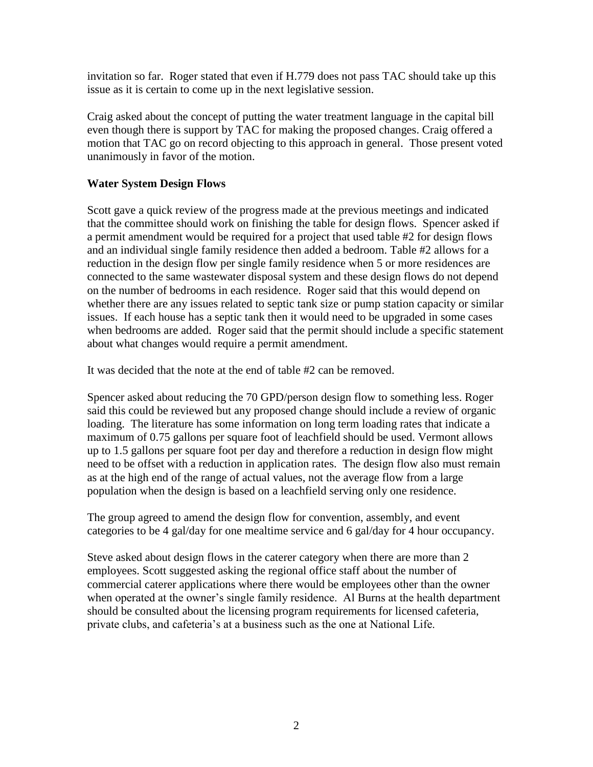invitation so far. Roger stated that even if H.779 does not pass TAC should take up this issue as it is certain to come up in the next legislative session.

Craig asked about the concept of putting the water treatment language in the capital bill even though there is support by TAC for making the proposed changes. Craig offered a motion that TAC go on record objecting to this approach in general. Those present voted unanimously in favor of the motion.

# **Water System Design Flows**

Scott gave a quick review of the progress made at the previous meetings and indicated that the committee should work on finishing the table for design flows. Spencer asked if a permit amendment would be required for a project that used table #2 for design flows and an individual single family residence then added a bedroom. Table #2 allows for a reduction in the design flow per single family residence when 5 or more residences are connected to the same wastewater disposal system and these design flows do not depend on the number of bedrooms in each residence. Roger said that this would depend on whether there are any issues related to septic tank size or pump station capacity or similar issues. If each house has a septic tank then it would need to be upgraded in some cases when bedrooms are added. Roger said that the permit should include a specific statement about what changes would require a permit amendment.

It was decided that the note at the end of table #2 can be removed.

Spencer asked about reducing the 70 GPD/person design flow to something less. Roger said this could be reviewed but any proposed change should include a review of organic loading. The literature has some information on long term loading rates that indicate a maximum of 0.75 gallons per square foot of leachfield should be used. Vermont allows up to 1.5 gallons per square foot per day and therefore a reduction in design flow might need to be offset with a reduction in application rates. The design flow also must remain as at the high end of the range of actual values, not the average flow from a large population when the design is based on a leachfield serving only one residence.

The group agreed to amend the design flow for convention, assembly, and event categories to be 4 gal/day for one mealtime service and 6 gal/day for 4 hour occupancy.

Steve asked about design flows in the caterer category when there are more than 2 employees. Scott suggested asking the regional office staff about the number of commercial caterer applications where there would be employees other than the owner when operated at the owner's single family residence. Al Burns at the health department should be consulted about the licensing program requirements for licensed cafeteria, private clubs, and cafeteria's at a business such as the one at National Life.